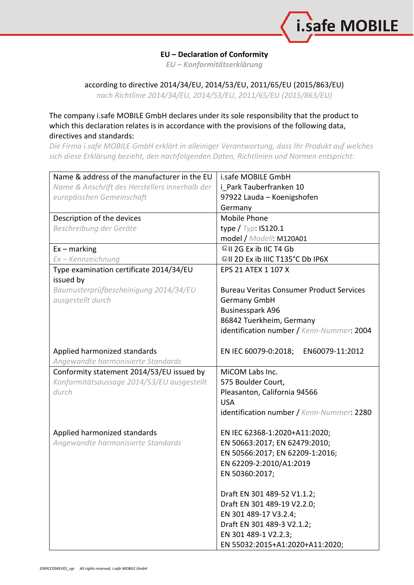

## **EU – Declaration of Conformity**

*EU – Konformitätserklärung*

## according to directive 2014/34/EU, 2014/53/EU, 2011/65/EU (2015/863/EU)

*nach Richtlinie 2014/34/EU, 2014/53/EU, 2011/65/EU (2015/863/EU)*

## The company i.safe MOBILE GmbH declares under its sole responsibility that the product to which this declaration relates is in accordance with the provisions of the following data, directives and standards:

*Die Firma i.safe MOBILE GmbH erklärt in alleiniger Verantwortung, dass Ihr Produkt auf welches sich diese Erklärung bezieht, den nachfolgenden Daten, Richtlinien und Normen entspricht:*

| Name & address of the manufacturer in the EU   | i.safe MOBILE GmbH                              |
|------------------------------------------------|-------------------------------------------------|
| Name & Anschrift des Herstellers innerhalb der | i Park Tauberfranken 10                         |
| europäischen Gemeinschaft                      | 97922 Lauda - Koenigshofen                      |
|                                                | Germany                                         |
| Description of the devices                     | Mobile Phone                                    |
| Beschreibung der Geräte                        | type $/$ Typ: IS120.1                           |
|                                                | model / Modell: M120A01                         |
| $Ex -$ marking                                 | <sup>©</sup> II 2G Ex ib IIC T4 Gb              |
| Ex - Kennzeichnung                             | <sup>1</sup> /®II 2D Ex ib IIIC T135°C Db IP6X  |
| Type examination certificate 2014/34/EU        | EPS 21 ATEX 1 107 X                             |
| issued by                                      |                                                 |
| Baumusterprüfbescheinigung 2014/34/EU          | <b>Bureau Veritas Consumer Product Services</b> |
| ausgestellt durch                              | <b>Germany GmbH</b>                             |
|                                                | <b>Businesspark A96</b>                         |
|                                                | 86842 Tuerkheim, Germany                        |
|                                                | identification number / Kenn-Nummer: 2004       |
|                                                |                                                 |
| Applied harmonized standards                   | EN IEC 60079-0:2018;<br>EN60079-11:2012         |
| Angewandte harmonisierte Standards             |                                                 |
| Conformity statement 2014/53/EU issued by      | MiCOM Labs Inc.                                 |
| Konformitätsaussage 2014/53/EU ausgestellt     | 575 Boulder Court,                              |
| durch                                          | Pleasanton, California 94566                    |
|                                                | <b>USA</b>                                      |
|                                                | identification number / Kenn-Nummer: 2280       |
| Applied harmonized standards                   | EN IEC 62368-1:2020+A11:2020;                   |
| Angewandte harmonisierte Standards             | EN 50663:2017; EN 62479:2010;                   |
|                                                | EN 50566:2017; EN 62209-1:2016;                 |
|                                                | EN 62209-2:2010/A1:2019                         |
|                                                | EN 50360:2017;                                  |
|                                                |                                                 |
|                                                | Draft EN 301 489-52 V1.1.2;                     |
|                                                | Draft EN 301 489-19 V2.2.0;                     |
|                                                | EN 301 489-17 V3.2.4;                           |
|                                                | Draft EN 301 489-3 V2.1.2;                      |
|                                                | EN 301 489-1 V2.2.3;                            |
|                                                | EN 55032:2015+A1:2020+A11:2020;                 |